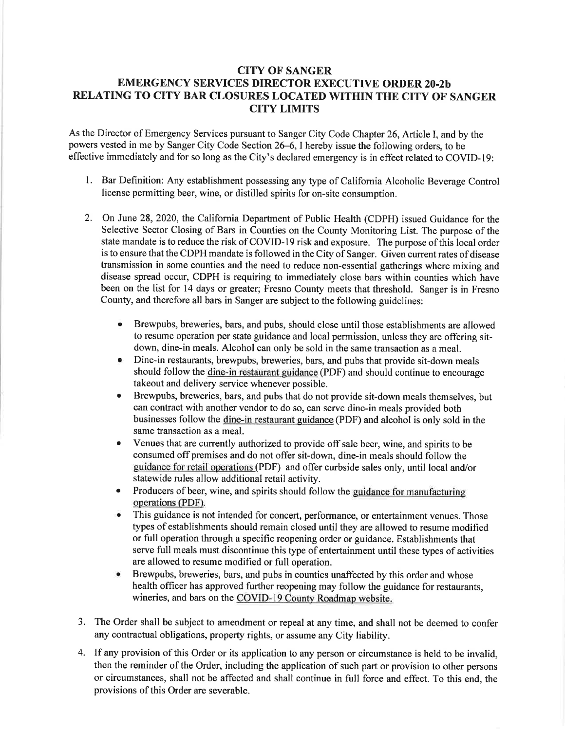## CITY OF SANGER EMERGENCY SERVICES DIRECTOR EXECUTIVE ORDER 20.2b RELATING TO CITY BAR CLOSURES LOCATED WITHIN THE CITY OF SANGER CITY LIMITS

As the Director of Emergency Services pursuant to Sanger City Code Chapter 26, Article I, and by the powers vested in me by Sanger City Code Section 26–6, I hereby issue the following orders, to be effective immediately and for so long as the City's declared emergency is in effect related to COVID-19:

- 1. Bar Definition: Any establishment possessing any type of California Alcoholic Beverage Control license permitting beer, wine, or distilled spirits for on-site consumption.
- 2. On June 28,2020, the California Department of Public Health (CDPH) issued Guidance for the Selective Sector Closing of Bars in Counties on the County Monitoring List. The purpose of the state mandate is to reduce the risk of COVID-I9 risk and exposure. The purpose of this local order is to ensure that the CDPH mandate is followed in the City of Sanger. Given current rates of disease transmission in some counties and the need to reduce non-essential gatherings where mixing and disease spread occur, CDPH is requiring to immediately close bars within counties which have been on the list for 14 days or greater; Fresno County meets that threshold. Sanger is in Fresno County, and therefore all bars in Sanger are subject to the following guidelines:
	- Brewpubs, breweries, bars, and pubs, should close until those establishments are allowed to resume operation per state guidance and local permission, unless they are offering sitdown, dine-in meals. Alcohol can only be sold in the same transaction as a meal.
	- o Dine-in restaurants, brewpubs, breweries, bars, and pubs that provide sit-down meals should follow the dine-in restaurant guidance (PDF) and should continue to encourage takeout and delivery service whenever possible.
	- o Brewpubs, breweries, bars, and pubs that do not provide sit-down meals themselves, but can contract with another vendor to do so, can serve dine-in meals provided both businesses follow the dine-in restaurant guidance (PDF) and alcohol is only sold in the same transaction as a meal.
	- Venues that are currently authorized to provide off sale beer, wine, and spirits to be consumed off premises and do not offer sit-down, dine-in meals should follow the guidance for retail operations (PDF) and offer curbside sales only, until local and/or statewide rules allow additional retail activity.
	- Producers of beer, wine, and spirits should follow the guidance for manufacturing operations (PDF).
	- This guidance is not intended for concert, performance, or entertainment venues. Those types of establishments should remain closed until they are allowed to resume modified or full operation through a specific reopening order or guidance. Establishments that serve full meals must discontinue this type of entertainment until these types of activities are allowed to resume modified or full operation.
	- Brewpubs, breweries, bars, and pubs in counties unaffected by this order and whose health officer has approved further reopening may follow the guidance for restaurants, wineries, and bars on the COVID-19 County Roadmap website.
- 3. The Order shall be subject to amendment or repeal at any time, and shall not be deemed to confer any contractual obligations, property rights, or assume any City liability.
- 4. If any provision of this Order or its application to any person or circumstance is held to be invalid, then the reminder of the Order, including the application of such part or provision to other persons or circumstances, shall not be affected and shall continue in full force and effect. To this end, the provisions of this Order are severable.